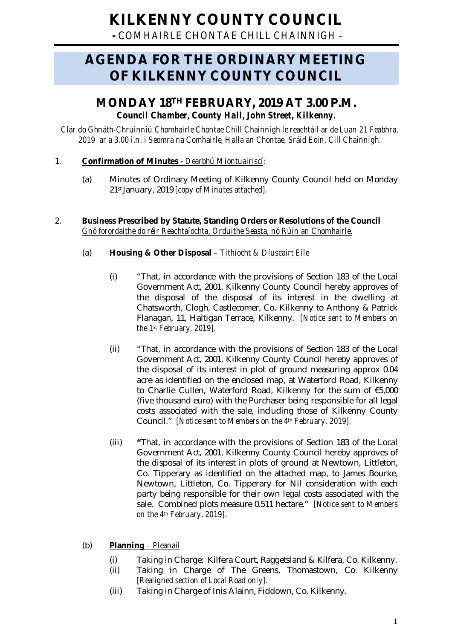**-** *COMHAIRLE CHONTAE CHILL CHAINNIGH -*

# **AGENDA FOR THE ORDINARY MEETING OF KILKENNY COUNTY COUNCIL**

# **MONDAY 18TH FEBRUARY, 2019 AT 3.00 P.M.** *Council Chamber, County Hall, John Street, Kilkenny.*

*Clár do Ghnáth-Chruinniú Chomhairle Chontae Chill Chainnigh le reachtáil ar de Luan 21 Feabhra, 2019 ar a 3.00 i.n. i Seomra na Comhairle, Halla an Chontae, Sráid Eoin, Cill Chainnigh.*

### 1. **Confirmation of Minutes** - *Dearbhú Miontuairiscí:*

(a) Minutes of Ordinary Meeting of Kilkenny County Council held on Monday 21stJanuary, 2019 *[copy of Minutes attached].*

#### 2. **Business Prescribed by Statute, Standing Orders or Resolutions of the Council** *Gnó forordaithe do réir Reachtaíochta, Orduithe Seasta, nó Rúin an Chomhairle*.

### (a) **Housing & Other Disposal** *– Tithíocht & Díuscairt Eile*

- (i) "That, in accordance with the provisions of Section 183 of the Local Government Act, 2001, Kilkenny County Council hereby approves of the disposal of the disposal of its interest in the dwelling at Chatsworth, Clogh, Castlecomer, Co. Kilkenny to Anthony & Patrick Flanagan, 11, Haltigan Terrace, Kilkenny. *[Notice sent to Members on the 1st February, 2019].*
- (ii) "That, in accordance with the provisions of Section 183 of the Local Government Act, 2001, Kilkenny County Council hereby approves of the disposal of its interest in plot of ground measuring approx 0.04 acre as identified on the enclosed map, at Waterford Road, Kilkenny to Charlie Cullen, Waterford Road, Kilkenny for the sum of €5,000 (five thousand euro) with the Purchaser being responsible for all legal costs associated with the sale, including those of Kilkenny County Council." *[Notice sent to Members on the 4th February, 2019].*
- (iii) **"**That, in accordance with the provisions of Section 183 of the Local Government Act, 2001, Kilkenny County Council hereby approves of the disposal of its interest in plots of ground at Newtown, Littleton, Co. Tipperary as identified on the attached map, to James Bourke, Newtown, Littleton, Co. Tipperary for Nil consideration with each party being responsible for their own legal costs associated with the sale. Combined plots measure 0.511 hectare." *[Notice sent to Members on the 4th February, 2019].*
- (b) **Planning** *– Pleanail*
	- (i) Taking in Charge: Kilfera Court, Raggetsland & Kilfera, Co. Kilkenny.
	- (ii) Taking in Charge of The Greens, Thomastown, Co. Kilkenny [*Realigned section of Local Road only].*
	- (iii) Taking in Charge of Inis Alainn, Fiddown, Co. Kilkenny.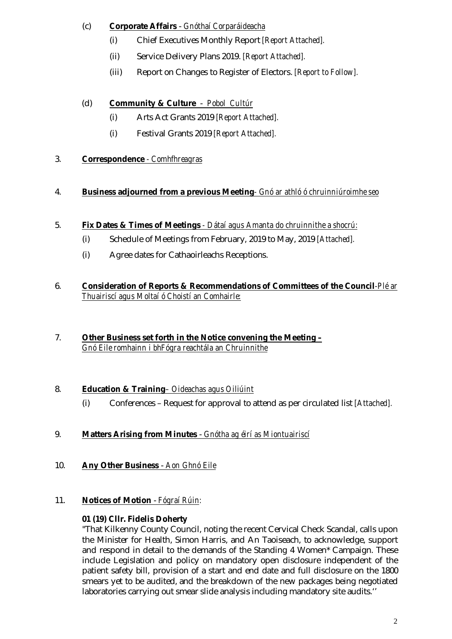### (c) **Corporate Affairs** - *Gnóthaí Corparáideacha*

- (i) Chief Executives Monthly Report *[Report Attached].*
- (ii) Service Delivery Plans 2019. *[Report Attached].*
- (iii) Report on Changes to Register of Electors. *[Report to Follow].*

# (d) **Community & Culture** - *Pobol Cultúr*

- (i) Arts Act Grants 2019 *[Report Attached].*
- (i) Festival Grants 2019 *[Report Attached].*

# 3. **Correspondence** *- Comhfhreagras*

# 4. **Business adjourned from a previous Meeting***- Gnó ar athló ó chruinniúroimhe seo*

- 5. **Fix Dates & Times of Meetings** *- Dátaí agus Amanta do chruinnithe a shocrú:* 
	- (i) Schedule of Meetings from February, 2019 to May, 2019 *[Attached].*
	- (i) Agree dates for Cathaoirleachs Receptions.
- 6. **Consideration of Reports & Recommendations of Committees of the Council***-Plé ar Thuairiscí agus Moltaí ó Choistí an Comhairle:*
- 7. **Other Business set forth in the Notice convening the Meeting –** *Gnó Eile romhainn i bhFógra reachtála an Chruinnithe*

# 8. **Education & Training***– Oideachas agus Oiliúint*

- (i) Conferences Request for approval to attend as per circulated list *[Attached].*
- 9. **Matters Arising from Minutes** *Gnótha ag éirí as Miontuairiscí*
- 10. **Any Other Business** *Aon Ghnó Eile*
- 11. **Notices of Motion**  *Fógraí Rúin:*

# **01 (19) Cllr. Fidelis Doherty**

"That Kilkenny County Council, noting the recent Cervical Check Scandal, calls upon the Minister for Health, Simon Harris, and An Taoiseach, to acknowledge, support and respond in detail to the demands of the Standing 4 Women\* Campaign. These include Legislation and policy on mandatory open disclosure independent of the patient safety bill, provision of a start and end date and full disclosure on the 1800 smears yet to be audited, and the breakdown of the new packages being negotiated laboratories carrying out smear slide analysis including mandatory site audits.''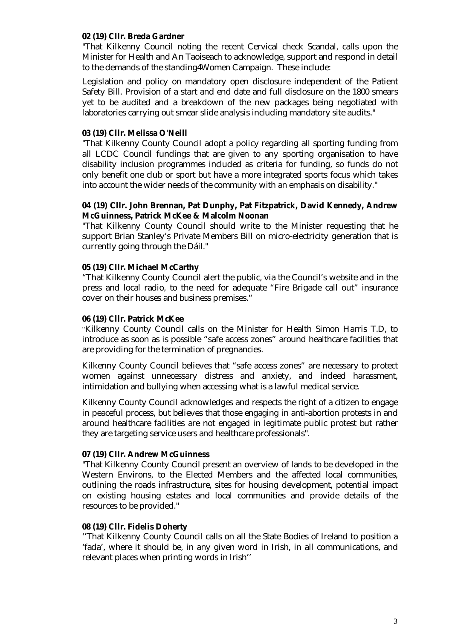#### **02 (19) Cllr. Breda Gardner**

"That Kilkenny Council noting the recent Cervical check Scandal, calls upon the Minister for Health and An Taoiseach to acknowledge, support and respond in detail to the demands of the standing4Women Campaign. These include:

Legislation and policy on mandatory open disclosure independent of the Patient Safety Bill. Provision of a start and end date and full disclosure on the 1800 smears yet to be audited and a breakdown of the new packages being negotiated with laboratories carrying out smear slide analysis including mandatory site audits."

#### **03 (19) Cllr. Melissa O'Neill**

"That Kilkenny County Council adopt a policy regarding all sporting funding from all LCDC Council fundings that are given to any sporting organisation to have disability inclusion programmes included as criteria for funding, so funds do not only benefit one club or sport but have a more integrated sports focus which takes into account the wider needs of the community with an emphasis on disability."

#### **04 (19) Cllr. John Brennan, Pat Dunphy, Pat Fitzpatrick, David Kennedy, Andrew McGuinness, Patrick McKee & Malcolm Noonan**

"That Kilkenny County Council should write to the Minister requesting that he support Brian Stanley's Private Members Bill on micro-electricity generation that is currently going through the Dáil."

#### **05 (19) Cllr. Michael McCarthy**

"That Kilkenny County Council alert the public, via the Council's website and in the press and local radio, to the need for adequate "Fire Brigade call out" insurance cover on their houses and business premises."

#### **06 (19) Cllr. Patrick McKee**

"Kilkenny County Council calls on the Minister for Health Simon Harris T.D, to introduce as soon as is possible "safe access zones" around healthcare facilities that are providing for the termination of pregnancies.

Kilkenny County Council believes that "safe access zones" are necessary to protect women against unnecessary distress and anxiety, and indeed harassment, intimidation and bullying when accessing what is a lawful medical service.

Kilkenny County Council acknowledges and respects the right of a citizen to engage in peaceful process, but believes that those engaging in anti-abortion protests in and around healthcare facilities are not engaged in legitimate public protest but rather they are targeting service users and healthcare professionals".

#### **07 (19) Cllr. Andrew McGuinness**

"That Kilkenny County Council present an overview of lands to be developed in the Western Environs, to the Elected Members and the affected local communities, outlining the roads infrastructure, sites for housing development, potential impact on existing housing estates and local communities and provide details of the resources to be provided."

#### **08 (19) Cllr. Fidelis Doherty**

''That Kilkenny County Council calls on all the State Bodies of Ireland to position a 'fada', where it should be, in any given word in Irish, in all communications, and relevant places when printing words in Irish''